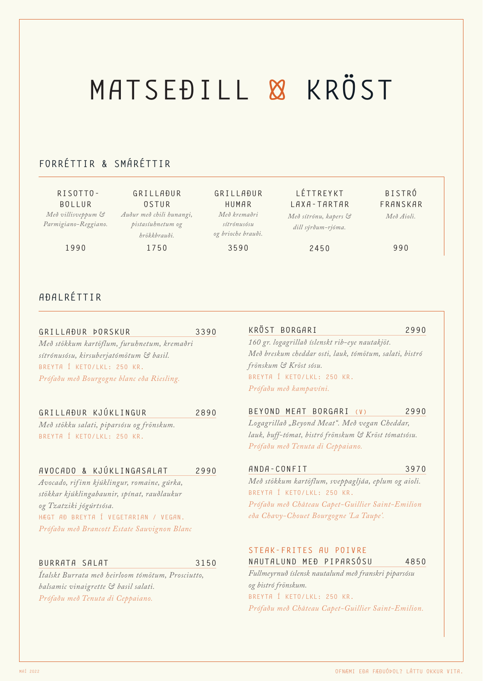## MATSEÐILL & KRÖST

## FORRÉTTIR & SMÁRÉTTIR

 RISOTTO-BOLLUR *Með villisveppum & Parmigiano-Reggiano.* 

1990

GRILLAÐUR OSTUR *Auður með chili hunangi, pistasíuhnetum og hrökkbrauði.*

1750

GRILLAÐUR HUMAR *Með kremaðri sítrónusósu og brioche brauði.*

3590

LÉTTREYKT LAXA-TARTAR *Með sítrónu, kapers & dill sýrðum-rjóma.*

2450

BISTRÓ FRANSKAR *Með Aioli.*

990

### AÐALRÉTTIR

GRILLAÐUR ÞORSKUR 3390 *Með stökkum kartöflum, furuhnetum, kremaðri sítrónusósu, kirsuberjatómötum & basil.*  BREYTA Í KETO/LKL: 250 KR. *Prófaðu með Bourgogne blanc eða Riesling.*

## GRILLAÐUR KJÚKLINGUR 2890

*Með stökku salati, piparsósu og frönskum.* BREYTA Í KETO/LKL: 250 KR.

#### AVOCADO & KJÚKLINGASALAT 2990

*Avocado, rif inn kjúklingur, romaine, gúrka, stökkar kjúklingabaunir, spínat, rauðlaukur og Tzatziki jógúrtsósa.* HÆGT AÐ BREYTA Í VEGETARIAN / VEGAN. *Prófaðu með Brancott Estate Sauvignon Blanc*

#### BURRATA SALAT 3150

*Ítalskt Burrata með heirloom tómötum, Prosciutto, balsamic vinaigrette & basil salati. Prófaðu með Tenuta di Ceppaiano.*

KRÖST BORGARI 2990 *160 gr. logagrillað íslenskt rib-eye nautakjöt. Með breskum cheddar osti, lauk, tómötum, salati, bistró frönskum & Kröst sósu.*  BREYTA Í KETO/LKL: 250 KR. *Prófaðu með kampavíni.*

#### BEYOND MEAT BORGARI (V) 2990

*Logagrillað "Beyond Meat". Með vegan Cheddar, lauk, buff-tómat, bistró frönskum & Kröst tómatsósu. Prófaðu með Tenuta di Ceppaiano.*

#### ANDA-CONFIT 3970

*Með stökkum kartöflum, sveppagljáa, eplum og aioli.*  BREYTA Í KETO/LKL: 250 KR. *Prófaðu með Château Capet-Guillier Saint-Emilion eða Chavy-Chouet Bourgogne 'La Taupe'.*

#### STEAK-FRITES AU POIVRE NAUTALUND MEÐ PIPARSÓSU 4850

*Fullmeyrnuð íslensk nautalund með franskri piparsósu og bistró frönskum.* BREYTA Í KETO/LKL: 250 KR. *Prófaðu með Château Capet-Guillier Saint-Emilion.*